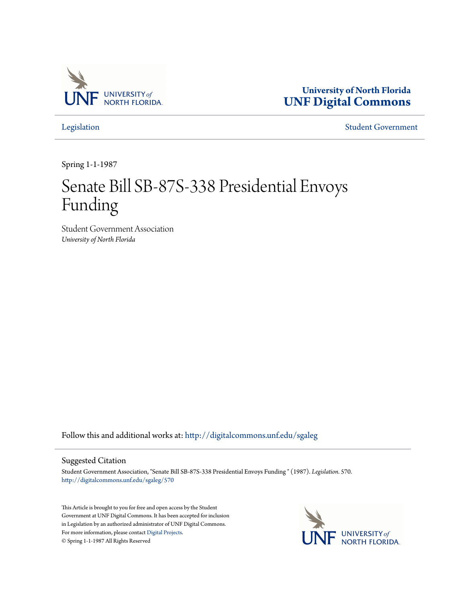

**University of North Florida [UNF Digital Commons](http://digitalcommons.unf.edu?utm_source=digitalcommons.unf.edu%2Fsgaleg%2F570&utm_medium=PDF&utm_campaign=PDFCoverPages)**

[Legislation](http://digitalcommons.unf.edu/sgaleg?utm_source=digitalcommons.unf.edu%2Fsgaleg%2F570&utm_medium=PDF&utm_campaign=PDFCoverPages) [Student Government](http://digitalcommons.unf.edu/sga?utm_source=digitalcommons.unf.edu%2Fsgaleg%2F570&utm_medium=PDF&utm_campaign=PDFCoverPages)

Spring 1-1-1987

## Senate Bill SB-87S-338 Presidential Envoys Funding

Student Government Association *University of North Florida*

Follow this and additional works at: [http://digitalcommons.unf.edu/sgaleg](http://digitalcommons.unf.edu/sgaleg?utm_source=digitalcommons.unf.edu%2Fsgaleg%2F570&utm_medium=PDF&utm_campaign=PDFCoverPages)

## Suggested Citation

Student Government Association, "Senate Bill SB-87S-338 Presidential Envoys Funding " (1987). *Legislation*. 570. [http://digitalcommons.unf.edu/sgaleg/570](http://digitalcommons.unf.edu/sgaleg/570?utm_source=digitalcommons.unf.edu%2Fsgaleg%2F570&utm_medium=PDF&utm_campaign=PDFCoverPages)

This Article is brought to you for free and open access by the Student Government at UNF Digital Commons. It has been accepted for inclusion in Legislation by an authorized administrator of UNF Digital Commons. For more information, please contact [Digital Projects](mailto:lib-digital@unf.edu). © Spring 1-1-1987 All Rights Reserved